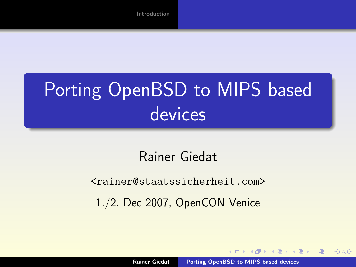# Porting OpenBSD to MIPS based devices

#### Rainer Giedat

#### <rainer@staatssicherheit.com>

1./2. Dec 2007, OpenCON Venice

<span id="page-0-0"></span> $\left\{ \bigoplus_k k \right\} \times \left\{ \bigoplus_k k \right\} \times \left\{ \bigoplus_k k \right\}$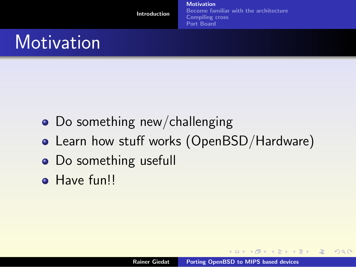**[Motivation](#page-2-0)** [Become familiar with the architecture](#page-6-0) [Compiling cross](#page-7-0) [Port Board](#page-20-0)

## **Motivation**

- Do something new/challenging
- Learn how stuff works (OpenBSD/Hardware)
- Do something usefull
- **Have funll**

**K ロ ▶ K 御 ▶ K 君 ▶ K 君 ▶** ..

<span id="page-1-0"></span>唾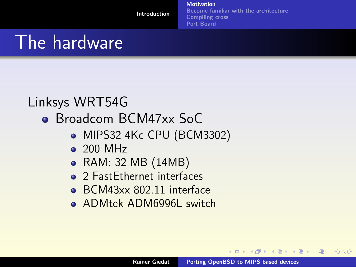**[Motivation](#page-2-0)** [Become familiar with the architecture](#page-6-0) [Compiling cross](#page-7-0) [Port Board](#page-20-0)

## The hardware

#### Linksys WRT54G

- Broadcom BCM47xx SoC
	- MIPS32 4Kc CPU (BCM3302)
	- 200 MHz
	- RAM: 32 MB (14MB)
	- 2 FastEthernet interfaces
	- BCM43xx 802.11 interface
	- **ADMtek ADM6996L switch**

<span id="page-2-0"></span>**K ロ ≯ K 倒 ≯ K ミ ≯ K ミ ≯**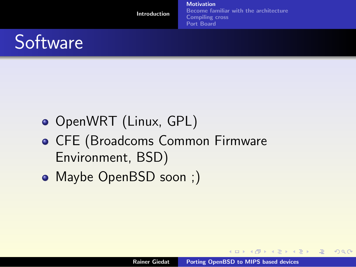**[Motivation](#page-2-0)** [Become familiar with the architecture](#page-6-0) [Compiling cross](#page-7-0) [Port Board](#page-20-0)



- OpenWRT (Linux, GPL)
- CFE (Broadcoms Common Firmware Environment, BSD)
- Maybe OpenBSD soon ;)

**K ロ ▶ K 御 ▶ K 唐 ▶ K 唐 ▶** 

唾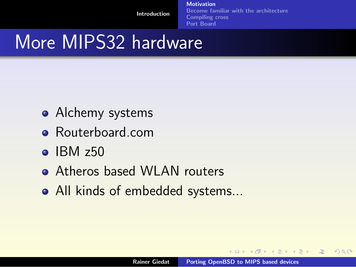**[Motivation](#page-2-0)** [Become familiar with the architecture](#page-6-0) [Compiling cross](#page-7-0) [Port Board](#page-20-0)

## More MIPS32 hardware

- Alchemy systems
- Routerboard.com
- $\bullet$  IBM  $z50$
- **Atheros based WLAN routers**
- All kinds of embedded systems...

**K ロ ▶ K 御 ▶ K 君 ▶ K 君 ▶** ..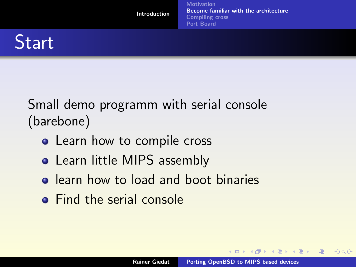

Small demo programm with serial console (barebone)

- Learn how to compile cross
- Learn little MIPS assembly
- **•** learn how to load and boot binaries
- **•** Find the serial console

 $4.17 \times$ 

- 4個 ▶ - 4回 ▶ - 4回 ▶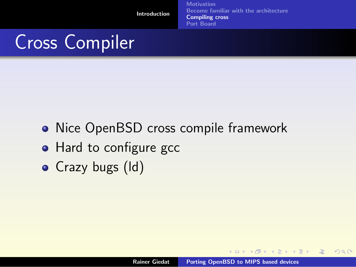**[Motivation](#page-2-0)** [Become familiar with the architecture](#page-6-0) [Compiling cross](#page-7-0) [Port Board](#page-20-0)

# Cross Compiler

- Nice OpenBSD cross compile framework
- Hard to configure gcc
- Crazy bugs (Id)

**K ロ ▶ K 御 ▶ K 唐 ▶ K 唐 ▶** 

<span id="page-6-0"></span>唾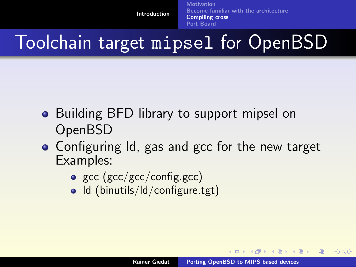**[Motivation](#page-2-0)** [Become familiar with the architecture](#page-6-0) [Compiling cross](#page-7-0) [Port Board](#page-20-0)

## Toolchain target mipsel for OpenBSD

- Building BFD library to support mipsel on OpenBSD
- Configuring Id, gas and gcc for the new target Examples:
	- gcc ( $\text{gcc}/\text{gcc}/\text{config.gcc}$ )
	- Id (binutils/Id/configure.tgt)

<span id="page-7-0"></span>**K ロ ▶ K 御 ▶ K 君 ▶ K 君 ▶** ...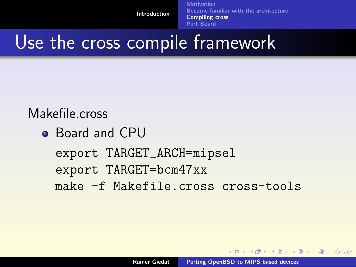**[Motivation](#page-2-0)** [Become familiar with the architecture](#page-6-0) [Compiling cross](#page-7-0) [Port Board](#page-20-0)

## Use the cross compile framework

#### Makefile.cross

```
Board and CPU
```

```
export TARGET_ARCH=mipsel
export TARGET=bcm47xx
make -f Makefile.cross cross-tools
```
**K ロ ▶ K 御 ▶ K 君 ▶ K 君 ▶** ...

哇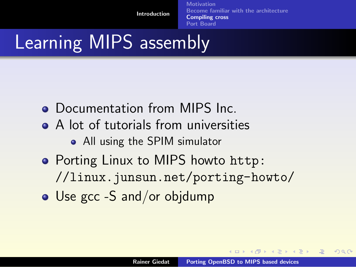**[Motivation](#page-2-0)** [Become familiar with the architecture](#page-6-0) [Compiling cross](#page-7-0) [Port Board](#page-20-0)

## Learning MIPS assembly

- Documentation from MIPS Inc.
- A lot of tutorials from universities
	- All using the SPIM simulator
- Porting Linux to MIPS howto [http:](http://linux.junsun.net/porting-howto/) [//linux.junsun.net/porting-howto/](http://linux.junsun.net/porting-howto/)
- Use gcc -S and/or objdump

 $\mathcal{A}$   $\mathcal{A}$   $\mathcal{B}$   $\mathcal{A}$   $\mathcal{B}$   $\mathcal{B}$   $\mathcal{A}$   $\mathcal{B}$   $\mathcal{B}$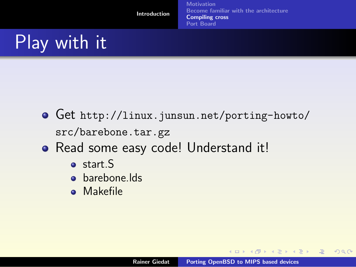**[Motivation](#page-2-0)** [Become familiar with the architecture](#page-6-0) [Compiling cross](#page-7-0) [Port Board](#page-20-0)

# Play with it

- Get [http://linux.junsun.net/porting-howto/](http://linux.junsun.net/porting-howto/src/barebone.tar.gz) [src/barebone.tar.gz](http://linux.junsun.net/porting-howto/src/barebone.tar.gz)
- Read some easy code! Understand it!
	- o start S
	- **o** barebone.lds
	- Makefile

**K ロ ▶ K 御 ▶ K 唐 ▶ K 唐 ▶** 

唾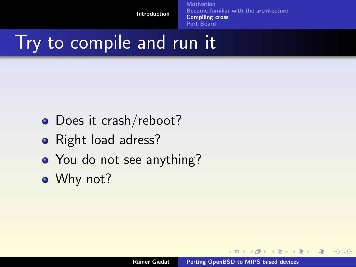**[Motivation](#page-2-0)** [Become familiar with the architecture](#page-6-0) [Compiling cross](#page-7-0) [Port Board](#page-20-0)

### Try to compile and run it

- Does it crash/reboot?
- Right load adress?
- You do not see anything?
- Why not?

**K ロ ▶ K 御 ▶ K 唐 ▶ K 唐 ▶** 

唾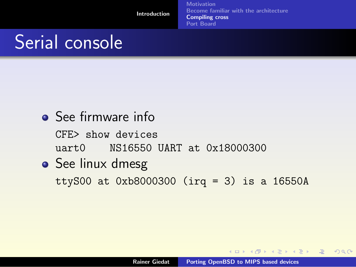**[Motivation](#page-2-0)** [Become familiar with the architecture](#page-6-0) [Compiling cross](#page-7-0) [Port Board](#page-20-0)

# Serial console

• See firmware info CFE> show devices uart0 NS16550 UART at 0x18000300 • See linux dmesg

ttyS00 at 0xb8000300 (irq = 3) is a 16550A

K ロ ▶ K 御 ▶ K 唐 ▶ K 唐 ▶ ○ 唐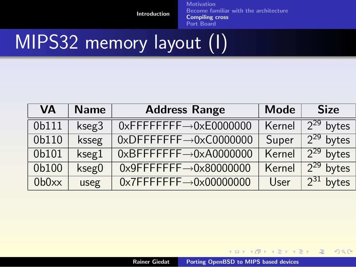[Motivation](#page-2-0) [Become familiar with the architecture](#page-6-0) [Compiling cross](#page-7-0) [Port Board](#page-20-0)

# MIPS32 memory layout (I)

| VA    | <b>Name</b> | <b>Address Range</b>                                 | <b>Mode</b> | <b>Size</b>    |
|-------|-------------|------------------------------------------------------|-------------|----------------|
| 0b111 | kseg3       | $0x$ FFFFFFFF $\rightarrow$ 0xE0000000               | Kernel      | $2^{29}$ bytes |
| 0b110 | ksseg       | $0x$ DFFFFFFFF $\rightarrow$ 0xC0000000              | Super       | $2^{29}$ bytes |
| 0b101 | kseg1       | $0xBFFFFFFF \rightarrow 0xA0000000$                  | Kernel      | $2^{29}$ bytes |
| 0b100 | kseg0       | $0x9$ FFFFFFF $\rightarrow$ 0x80000000               | Kernel      | $2^{29}$ bytes |
| 0b0xx | useg        | $0 \times 7$ FFFFFFF $\rightarrow 0 \times 00000000$ | User        | $2^{31}$ bytes |

Rainer Giedat [Porting OpenBSD to MIPS based devices](#page-0-0)

K ロ ▶ K @ ▶ K 할 ▶ K 할 ▶ ( ) 할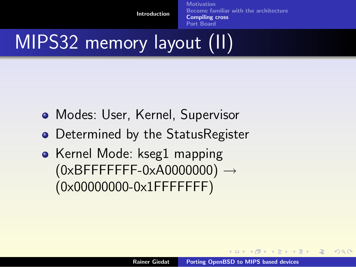**[Motivation](#page-2-0)** [Become familiar with the architecture](#page-6-0) [Compiling cross](#page-7-0) [Port Board](#page-20-0)

# MIPS32 memory layout (II)

- Modes: User, Kernel, Supervisor
- Determined by the StatusRegister
- Kernel Mode: kseg1 mapping  $(0xBFFFFFF-F-F-0xA0000000) \rightarrow$ (0x00000000-0x1FFFFFFF)

**K ロ ▶ K 御 ▶ K 君 ▶ K 君 ▶** ..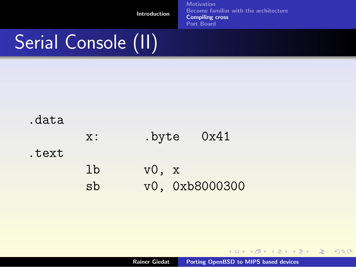[Motivation](#page-2-0) [Become familiar with the architecture](#page-6-0) [Compiling cross](#page-7-0) [Port Board](#page-20-0)

# Serial Console (II)

| x: | .byte | 0x41 |
|----|-------|------|
|----|-------|------|

#### .text

| 1 <sub>b</sub> | v0, x |                |
|----------------|-------|----------------|
| sb             |       | v0, 0xb8000300 |

K ロ ▶ K @ ▶ K 할 ▶ K 할 ▶ ( ) 할

 $299$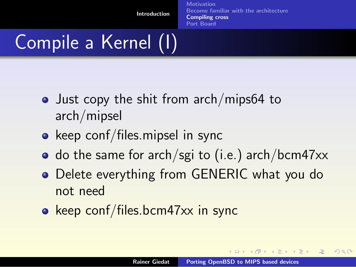**[Motivation](#page-2-0)** [Become familiar with the architecture](#page-6-0) [Compiling cross](#page-7-0) [Port Board](#page-20-0)

# Compile a Kernel (I)

- Just copy the shit from arch/mips64 to arch/mipsel
- keep conf/files.mipsel in sync
- $\bullet$  do the same for arch/sgi to (i.e.) arch/bcm47xx
- Delete everything from GENERIC what you do not need
- keep conf/files.bcm47xx in sync

 $4\Box$   $\rightarrow$   $\Box$   $\Box$   $\rightarrow$   $\Box$   $\rightarrow$   $\Box$   $\rightarrow$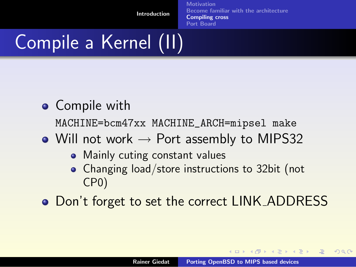**[Motivation](#page-2-0)** [Become familiar with the architecture](#page-6-0) [Compiling cross](#page-7-0) [Port Board](#page-20-0)

# Compile a Kernel (II)

- Compile with MACHINE=bcm47xx MACHINE\_ARCH=mipsel make
- Will not work  $\rightarrow$  Port assembly to MIPS32
	- Mainly cuting constant values
	- Changing load/store instructions to 32bit (not CP0)
- Don't forget to set the correct LINK\_ADDRESS

**K ロ ≯ K 倒 ≯ K ミ ≯ K ミ ≯**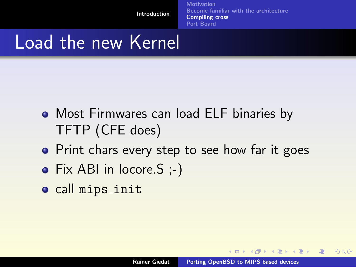**[Motivation](#page-2-0)** [Become familiar with the architecture](#page-6-0) [Compiling cross](#page-7-0) [Port Board](#page-20-0)

### Load the new Kernel

- Most Firmwares can load ELF binaries by TFTP (CFE does)
- Print chars every step to see how far it goes
- Fix ABI in locore. S ;-)
- o call mips\_init

**K ロ ▶ K 御 ▶ K 君 ▶ K 君 ▶** ..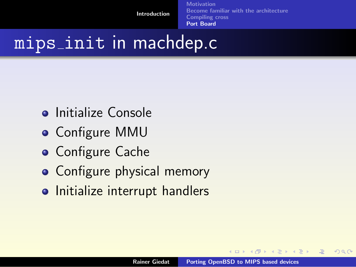**[Motivation](#page-2-0)** [Become familiar with the architecture](#page-6-0) [Compiling cross](#page-7-0) [Port Board](#page-20-0)

### mips init in machdep.c

- **o** Initialize Console
- Configure MMU
- **Configure Cache**
- Configure physical memory
- Initialize interrupt handlers

 $4$   $\Box$   $\rightarrow$ 

- 4個 ▶ - 4回 ▶ - 4回 ▶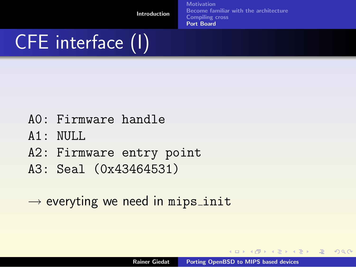**[Motivation](#page-2-0)** [Become familiar with the architecture](#page-6-0) [Compiling cross](#page-7-0) [Port Board](#page-20-0)

# CFE interface (I)

- A0: Firmware handle
- $A1:$  NULL.
- A2: Firmware entry point
- A3: Seal (0x43464531)
- $\rightarrow$  everyting we need in mips init

**K ロ ▶ K 御 ▶ K 君 ▶ K 君 ▶** ...

<span id="page-20-0"></span>唾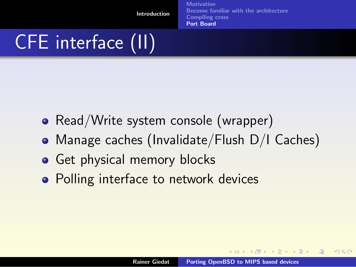**[Motivation](#page-2-0)** [Become familiar with the architecture](#page-6-0) [Compiling cross](#page-7-0) [Port Board](#page-20-0)

# CFE interface (II)

- Read/Write system console (wrapper)
- Manage caches (Invalidate/Flush D/I Caches)
- Get physical memory blocks
- Polling interface to network devices

**K ロ ▶ K 御 ▶ K 唐 ▶ K 唐 ▶** 

nar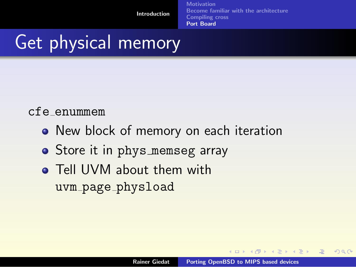**[Motivation](#page-2-0)** [Become familiar with the architecture](#page-6-0) [Compiling cross](#page-7-0) [Port Board](#page-20-0)

## Get physical memory

#### cfe enummem

- New block of memory on each iteration
- Store it in phys\_memseg array
- **Tell UVM about them with** uvm page physload

**K ロ ▶ K 御 ▶ K 唐 ▶ K 唐 ▶**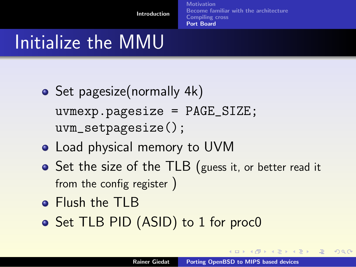**[Motivation](#page-2-0)** [Become familiar with the architecture](#page-6-0) [Compiling cross](#page-7-0) [Port Board](#page-20-0)

## Initialize the MMU

- Set pagesize(normally 4k) uvmexp.pagesize = PAGE\_SIZE; uvm\_setpagesize();
- Load physical memory to UVM
- Set the size of the TLB (guess it, or better read it from the config register )
- **•** Flush the TLB
- Set TLB PID (ASID) to 1 for proc0

**K ロ ▶ K 御 ▶ K 君 ▶ K 君 ▶** ..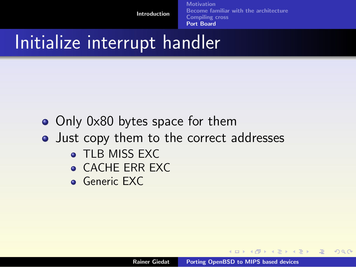**[Motivation](#page-2-0)** [Become familiar with the architecture](#page-6-0) [Compiling cross](#page-7-0) [Port Board](#page-20-0)

### Initialize interrupt handler

- Only 0x80 bytes space for them
- Just copy them to the correct addresses
	- **TLB MISS EXC**
	- CACHE ERR EXC
	- **Generic EXC**

**K ロ ▶ K 御 ▶ K 君 ▶ K 君 ▶** ..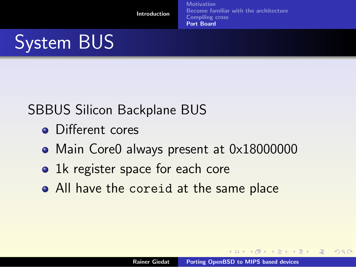**[Motivation](#page-2-0)** [Become familiar with the architecture](#page-6-0) [Compiling cross](#page-7-0) [Port Board](#page-20-0)

# System BUS

#### SBBUS Silicon Backplane BUS

- **Q** Different cores
- Main Core0 always present at 0x18000000
- 1k register space for each core
- All have the coreid at the same place

**K ロ ≯ K 倒 ≯ K ミ ≯ K ミ ≯**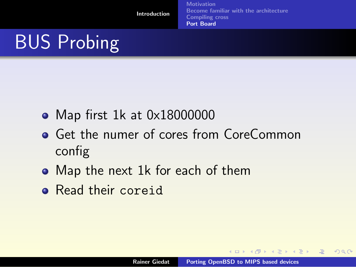**[Motivation](#page-2-0)** [Become familiar with the architecture](#page-6-0) [Compiling cross](#page-7-0) [Port Board](#page-20-0)

# BUS Probing

- Map first 1k at 0x18000000
- **Get the numer of cores from CoreCommon** config
- Map the next 1k for each of them
- Read their coreid

**K ロ ▶ K 御 ▶ K 君 ▶ K 君 ▶** ..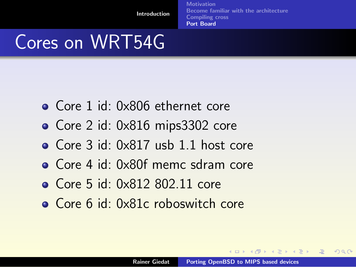**[Motivation](#page-2-0)** [Become familiar with the architecture](#page-6-0) [Compiling cross](#page-7-0) [Port Board](#page-20-0)

## Cores on WRT54G

- Core 1 id: 0x806 ethernet core
- Core 2 id: 0x816 mips3302 core
- Core 3 id: 0x817 usb 1.1 host core
- Core 4 id: 0x80f memc sdram core
- Core 5 id: 0x812 802.11 core
- Core 6 id: 0x81c roboswitch core

 $4$   $\Box$   $\rightarrow$   $4$   $\overline{\boxplus}$   $\rightarrow$   $\rightarrow$   $\overline{\boxplus}$   $\rightarrow$   $\overline{\boxplus}$   $\rightarrow$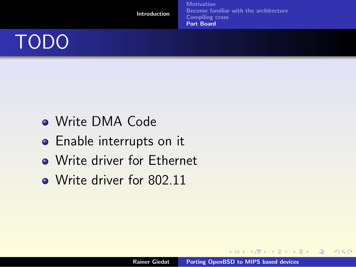[Introduction](#page-1-0) **[Motivation](#page-2-0)** [Become familiar with the architecture](#page-6-0) [Compiling cross](#page-7-0) [Port Board](#page-20-0) TODO

- Write DMA Code
- **•** Enable interrupts on it
- Write driver for Ethernet
- Write driver for 802.11

K ロ ▶ K 個 ▶ K 君 ▶ K 君 ▶ ...

唾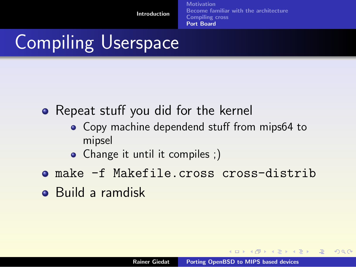**[Motivation](#page-2-0)** [Become familiar with the architecture](#page-6-0) [Compiling cross](#page-7-0) [Port Board](#page-20-0)

# Compiling Userspace

• Repeat stuff you did for the kernel

- Copy machine dependend stuff from mips64 to mipsel
- Change it until it compiles ;)
- make -f Makefile.cross cross-distrib
- Build a ramdisk

**K ロ ▶ K 御 ▶ K 君 ▶ K 君 ▶** ..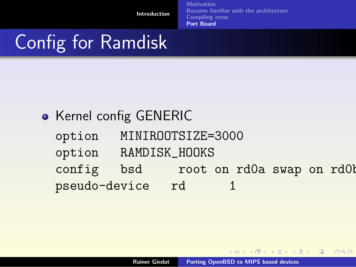**[Motivation](#page-2-0)** [Become familiar with the architecture](#page-6-0) [Compiling cross](#page-7-0) [Port Board](#page-20-0)

# Config for Ramdisk

### **• Kernel config GENERIC**

- option MINIROOTSIZE=3000
- option RAMDISK\_HOOKS
- config bsd root on rd0a swap on rd0b pseudo-device rd 1

**K ロ ▶ K 御 ▶ K 君 ▶ K 君 ▶** ..

唾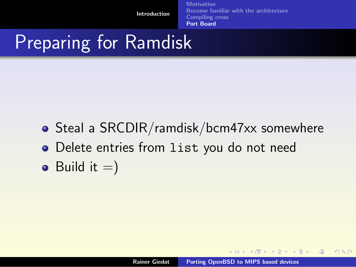**[Motivation](#page-2-0)** [Become familiar with the architecture](#page-6-0) [Compiling cross](#page-7-0) [Port Board](#page-20-0)

## Preparing for Ramdisk

- Steal a SRCDIR/ramdisk/bcm47xx somewhere
- Delete entries from list you do not need
- Build it  $=$ )

**K ロ ▶ K 御 ▶ K 君 ▶ K 君 ▶** ..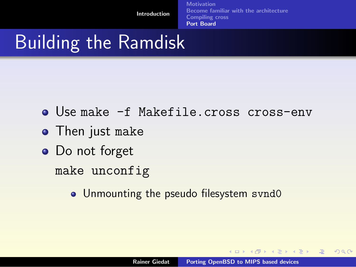**[Motivation](#page-2-0)** [Become familiar with the architecture](#page-6-0) [Compiling cross](#page-7-0) [Port Board](#page-20-0)

## Building the Ramdisk

- Use make -f Makefile.cross cross-env
- **•** Then just make
- Do not forget

make unconfig

• Unmounting the pseudo filesystem svnd0

**K ロ ▶ K 御 ▶ K 君 ▶ K 君 ▶** ..

 $2Q$ 

哇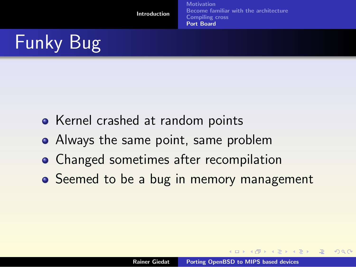**[Motivation](#page-2-0)** [Become familiar with the architecture](#page-6-0) [Compiling cross](#page-7-0) [Port Board](#page-20-0)

# Funky Bug

- Kernel crashed at random points
- Always the same point, same problem
- **Changed sometimes after recompilation**
- Seemed to be a bug in memory management

**K ロ ≯ K 倒 ≯ K ミ ≯ K ミ ≯**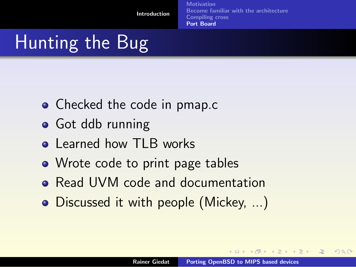**[Motivation](#page-2-0)** [Become familiar with the architecture](#page-6-0) [Compiling cross](#page-7-0) [Port Board](#page-20-0)

# Hunting the Bug

- Checked the code in pmap.c
- **•** Got ddb running
- **Q** Learned how TLB works
- Wrote code to print page tables
- Read UVM code and documentation
- Discussed it with people (Mickey, ...)

 $4\Box$   $\rightarrow$   $\Box$   $\Box$   $\rightarrow$   $\Box$   $\rightarrow$   $\Box$   $\rightarrow$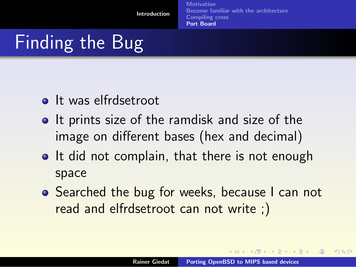**[Motivation](#page-2-0)** [Become familiar with the architecture](#page-6-0) [Compiling cross](#page-7-0) [Port Board](#page-20-0)

# Finding the Bug

- **o** It was elfrdsetroot
- **If prints size of the ramdisk and size of the** image on different bases (hex and decimal)
- **It did not complain, that there is not enough** space
- **•** Searched the bug for weeks, because I can not read and elfrdsetroot can not write ;)

 $4\Box$   $\rightarrow$   $\Box$   $\Box$   $\rightarrow$   $\Box$   $\rightarrow$   $\Box$   $\rightarrow$ 

nar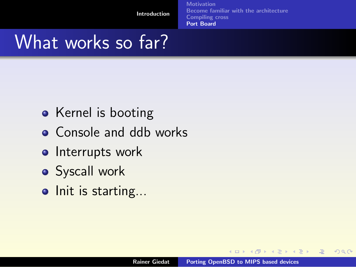**[Motivation](#page-2-0)** [Become familiar with the architecture](#page-6-0) [Compiling cross](#page-7-0) [Port Board](#page-20-0)

### What works so far?

- Kernel is booting
- Console and ddb works
- **o** Interrupts work
- **•** Syscall work
- Init is starting...

**K ロ ▶ K 御 ▶ K 君 ▶ K 君 ▶** ..

唾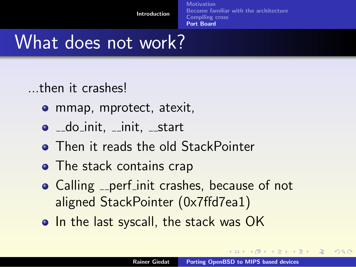**[Motivation](#page-2-0)** [Become familiar with the architecture](#page-6-0) [Compiling cross](#page-7-0) [Port Board](#page-20-0)

## What does not work?

...then it crashes!

- **o** mmap, mprotect, atexit,
- $\bullet$   $\_$ do $\_init$ ,  $\_init$ ,  $\_start$
- **Then it reads the old StackPointer**
- The stack contains crap
- Calling <sub>--</sub>perf init crashes, because of not aligned StackPointer (0x7ffd7ea1)
- In the last syscall, the stack was OK

 $(1, 1)$   $(1, 1)$   $(1, 1)$   $(1, 1)$   $(1, 1)$   $(1, 1)$   $(1, 1)$   $(1, 1)$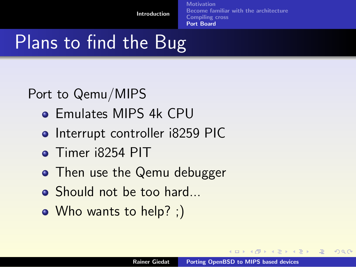**[Motivation](#page-2-0)** [Become familiar with the architecture](#page-6-0) [Compiling cross](#page-7-0) [Port Board](#page-20-0)

## Plans to find the Bug

Port to Qemu/MIPS

- **Emulates MIPS 4k CPU**
- Interrupt controller i8259 PIC
- **•** Timer i8254 PIT
- Then use the Qemu debugger
- Should not be too hard...
- Who wants to help? ;)

**K ロ ≯ K 倒 ≯ K ミ ≯ K ミ ≯**